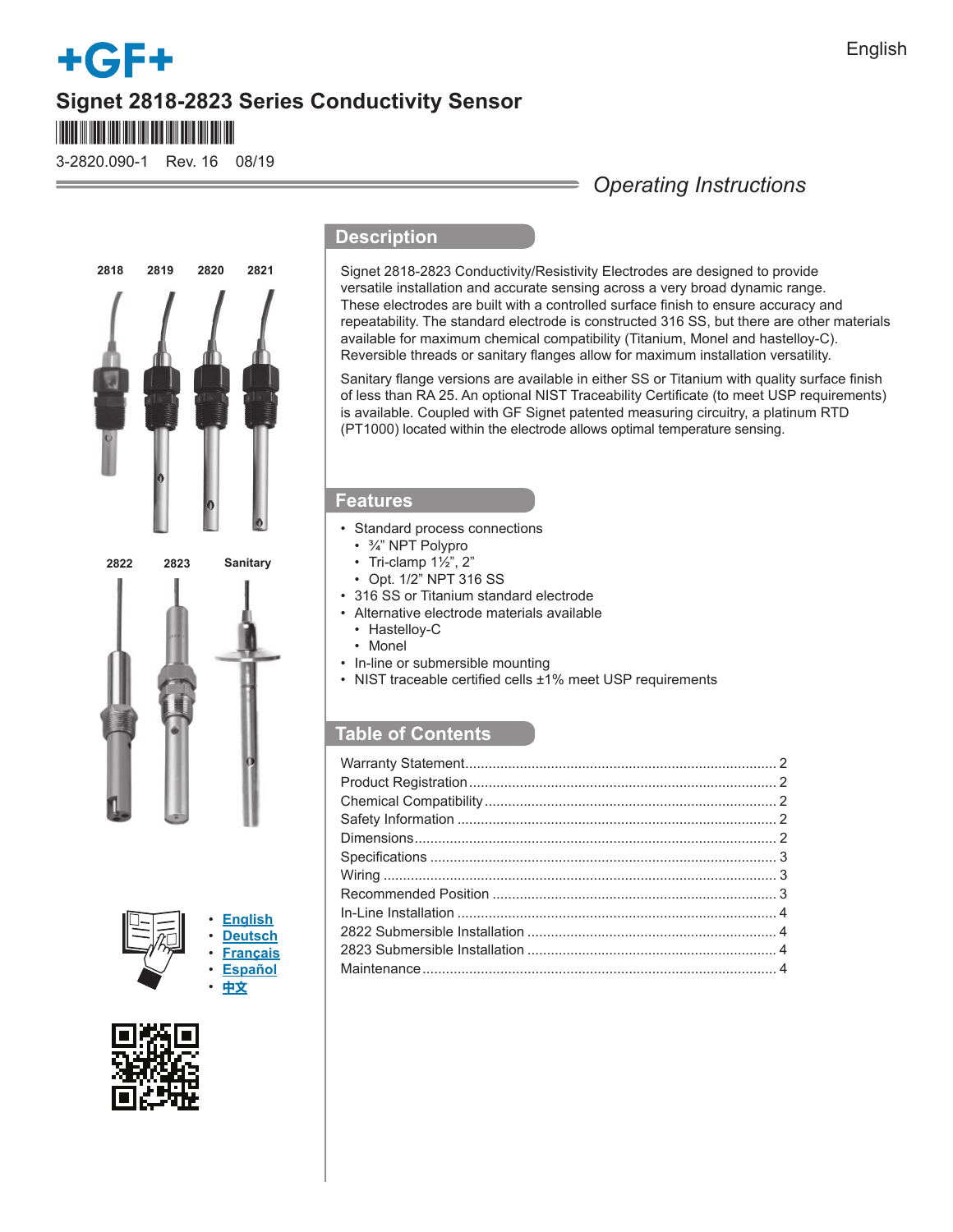# **+GF+ Signet 2818-2823 Series Conductivity Sensor** \*3-2820.090\*

3-2820.090-1 Rev. 16 08/19

# **2819 2820 2821 2822 2823 Sanitary 2818**

• **English** • **Deutsch** • **[Français](https://www.gfps.com/country_US/en_US/products/sensors/conductivityresistivity-sensors/2819.html)** • **Español** • **中文**



## **Description**

Signet 2818-2823 Conductivity/Resistivity Electrodes are designed to provide versatile installation and accurate sensing across a very broad dynamic range. These electrodes are built with a controlled surface finish to ensure accuracy and repeatability. The standard electrode is constructed 316 SS, but there are other materials available for maximum chemical compatibility (Titanium, Monel and hastelloy-C). Reversible threads or sanitary flanges allow for maximum installation versatility.

*Operating Instructions*

Sanitary flange versions are available in either SS or Titanium with quality surface finish of less than RA 25. An optional NIST Traceability Certificate (to meet USP requirements) is available. Coupled with GF Signet patented measuring circuitry, a platinum RTD (PT1000) located within the electrode allows optimal temperature sensing.

### **Features**

- Standard process connections
	- ¾" NPT Polypro
	- Tri-clamp  $1\frac{1}{2}$ ",  $2$ "
	- Opt. 1/2" NPT 316 SS
- 316 SS or Titanium standard electrode
- Alternative electrode materials available
- Hastelloy-C
- Monel
- In-line or submersible mounting
- NIST traceable certified cells  $\pm 1\%$  meet USP requirements

### **Table of Contents**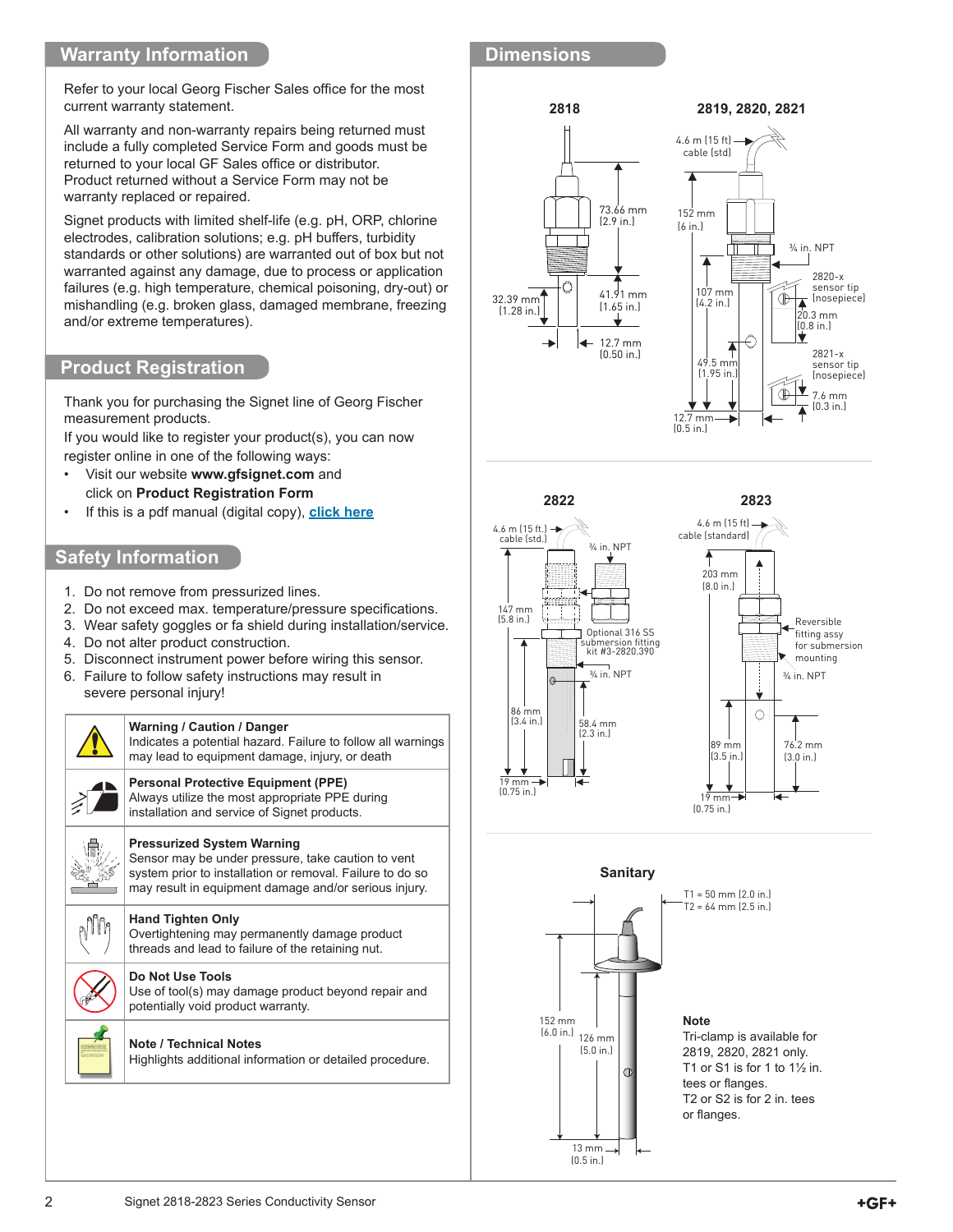### **Warranty Information**

Refer to your local Georg Fischer Sales office for the most current warranty statement.

All warranty and non-warranty repairs being returned must include a fully completed Service Form and goods must be returned to your local GF Sales office or distributor. Product returned without a Service Form may not be warranty replaced or repaired.

Signet products with limited shelf-life (e.g. pH, ORP, chlorine electrodes, calibration solutions; e.g. pH buffers, turbidity standards or other solutions) are warranted out of box but not warranted against any damage, due to process or application failures (e.g. high temperature, chemical poisoning, dry-out) or mishandling (e.g. broken glass, damaged membrane, freezing and/or extreme temperatures).

### **Product Registration**

Thank you for purchasing the Signet line of Georg Fischer measurement products.

If you would like to register your product(s), you can now register online in one of the following ways:

- Visit our website **www.gfsignet.com** and click on **Product Registration Form**
- If this is a pdf manual (digital copy), **[click here](https://www.gfps.com/content/dam/gfps_country_US/Content/signet/Downloads/ProductRegistrationForm.pdf)**

### **Safety Information**

- 1. Do not remove from pressurized lines.
- 2. Do not exceed max. temperature/pressure specifications.
- 3. Wear safety goggles or fa shield during installation/service.
- 4. Do not alter product construction.
- 5. Disconnect instrument power before wiring this sensor.
- 6. Failure to follow safety instructions may result in severe personal injury!



### **Dimensions**









Tri-clamp is available for 2819, 2820, 2821 only. T1 or S1 is for 1 to  $1\frac{1}{2}$  in. tees or flanges. T2 or S2 is for 2 in. tees or flanges.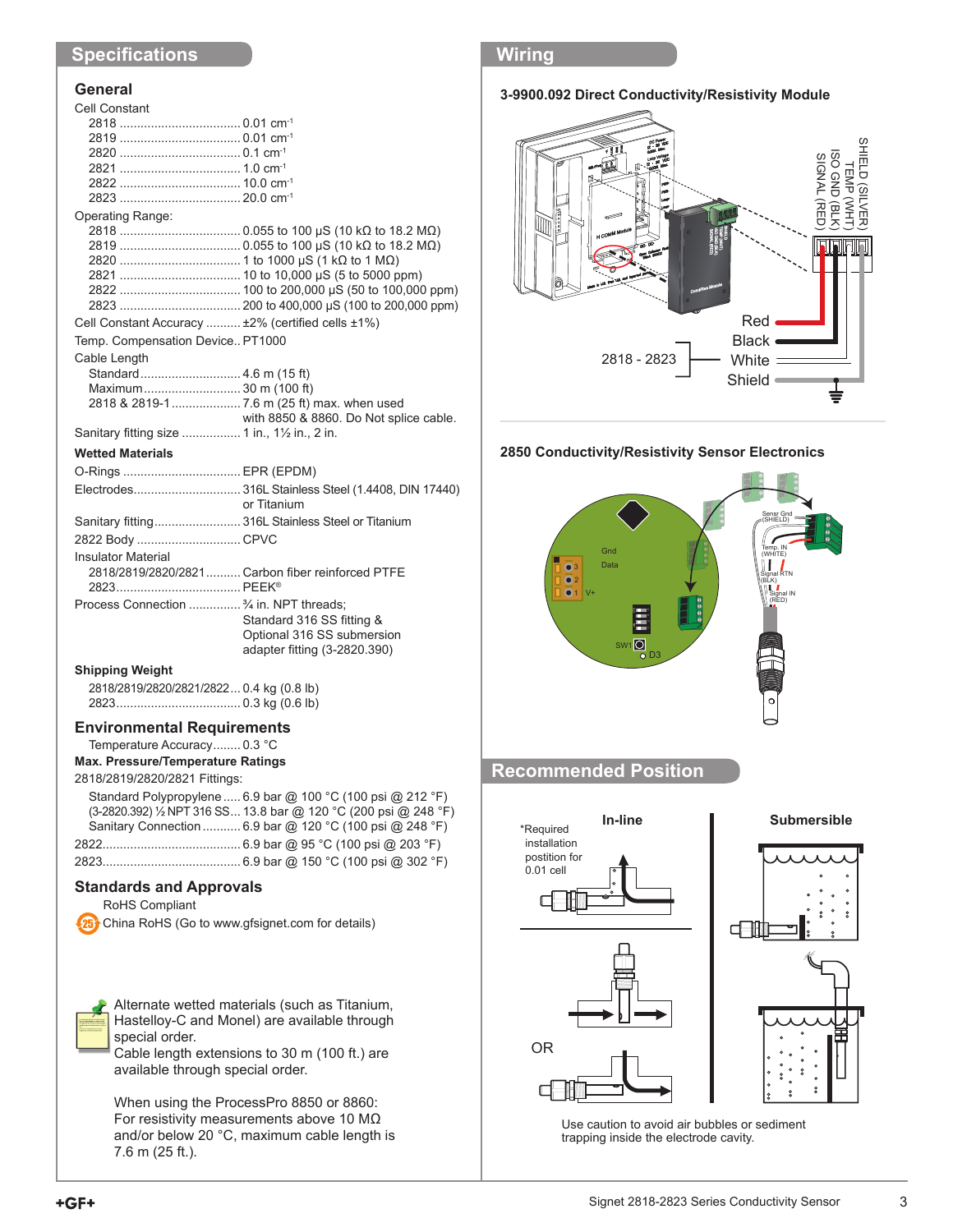### **Specifi cations**

### **General**

| Cell Constant                                                          |                                                     |
|------------------------------------------------------------------------|-----------------------------------------------------|
|                                                                        |                                                     |
|                                                                        |                                                     |
|                                                                        |                                                     |
|                                                                        |                                                     |
|                                                                        |                                                     |
|                                                                        |                                                     |
| Operating Range:                                                       |                                                     |
|                                                                        |                                                     |
|                                                                        |                                                     |
|                                                                        |                                                     |
|                                                                        |                                                     |
|                                                                        |                                                     |
|                                                                        |                                                     |
| Cell Constant Accuracy  ±2% (certified cells ±1%)                      |                                                     |
| Temp. Compensation Device PT1000                                       |                                                     |
|                                                                        |                                                     |
| Cable Length                                                           |                                                     |
| Standard 4.6 m (15 ft)                                                 |                                                     |
| Maximum 30 m (100 ft)                                                  |                                                     |
|                                                                        |                                                     |
|                                                                        | with 8850 & 8860. Do Not splice cable.              |
| Sanitary fitting size  1 in., 1 <sup>1</sup> / <sub>2</sub> in., 2 in. |                                                     |
| <b>Wetted Materials</b>                                                |                                                     |
| O-Rings  EPR (EPDM)                                                    |                                                     |
|                                                                        | Electrodes 316L Stainless Steel (1.4408, DIN 17440) |
|                                                                        | or Titanium                                         |
|                                                                        | Sanitary fitting 316L Stainless Steel or Titanium   |
| 2822 Body CPVC                                                         |                                                     |
| <b>Insulator Material</b>                                              |                                                     |
|                                                                        | 2818/2819/2820/2821  Carbon fiber reinforced PTFE   |
|                                                                        |                                                     |
| Process Connection  3/4 in. NPT threads;                               |                                                     |
|                                                                        |                                                     |
|                                                                        | Standard 316 SS fitting &                           |
|                                                                        | Optional 316 SS submersion                          |

### **Shipping Weight**

2818/2819/2820/2821/2822 ... 0.4 kg (0.8 lb) 2823 .................................... 0.3 kg (0.6 lb)

### **Environmental Requirements**

Temperature Accuracy ........ 0.3 °C

**Max. Pressure/Temperature Ratings**

### 2818/2819/2820/2821 Fittings:

| Standard Polypropylene  6.9 bar @ 100 °C (100 psi @ 212 °F)      |
|------------------------------------------------------------------|
| (3-2820.392) 1/2 NPT 316 SS 13.8 bar @ 120 °C (200 psi @ 248 °F) |
| Sanitary Connection  6.9 bar @ 120 °C (100 psi @ 248 °F)         |
|                                                                  |
|                                                                  |

adapter fitting (3-2820.390)

### **Standards and Approvals**

RoHS Compliant

China RoHS (Go to www.gfsignet.com for details)

Alternate wetted materials (such as Titanium, Hastelloy-C and Monel) are available through special order.

Cable length extensions to 30 m (100 ft.) are available through special order.

When using the ProcessPro 8850 or 8860: For resistivity measurements above 10 MΩ and/or below 20 °C, maximum cable length is 7.6 m (25 ft.).

### **Wiring**





### **2850 Conductivity/Resistivity Sensor Electronics**



### **Recommended Position**





Use caution to avoid air bubbles or sediment trapping inside the electrode cavity.